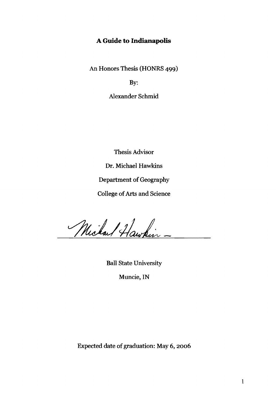# **A Guide to Indianapolis**

An Honors Thesis (HONRS 499)

By:

Alexander Schmid

Thesis Advisor

Dr. Michael Hawkins

Department of Geography

College of Arts and Science

Michael Hawkin -

Ball State University

Muncie, IN

Expected date of graduation: May 6, 2006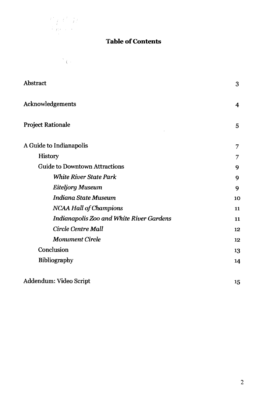

 $\label{eq:1} \sum_{i=1}^N \sum_{j=1}^N \frac{1}{j} \sum_{j=1}^N \frac{1}{j} \sum_{j=1}^N \frac{1}{j} \sum_{j=1}^N \frac{1}{j} \sum_{j=1}^N \frac{1}{j} \sum_{j=1}^N \frac{1}{j} \sum_{j=1}^N \frac{1}{j} \sum_{j=1}^N \frac{1}{j} \sum_{j=1}^N \frac{1}{j} \sum_{j=1}^N \frac{1}{j} \sum_{j=1}^N \frac{1}{j} \sum_{j=1}^N \frac{1}{j} \sum_{j=1}^N \frac{$ 

# **Table of Contents**

| Abstract                                        | 3  |
|-------------------------------------------------|----|
| Acknowledgements                                | 4  |
| <b>Project Rationale</b>                        | 5  |
| A Guide to Indianapolis                         | 7  |
| History                                         | 7  |
| <b>Guide to Downtown Attractions</b>            | 9  |
| <b>White River State Park</b>                   | 9  |
| <b>Eiteljorg Museum</b>                         | 9  |
| <b>Indiana State Museum</b>                     | 10 |
| <b>NCAA Hall of Champions</b>                   | 11 |
| <b>Indianapolis Zoo and White River Gardens</b> | 11 |
| Circle Centre Mall                              | 12 |
| <b>Monument Circle</b>                          | 12 |
| Conclusion                                      | 13 |
| Bibliography                                    | 14 |
| Addendum: Video Script                          | 15 |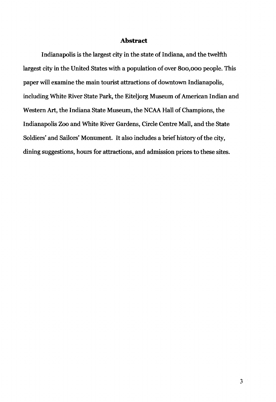### **Abstract**

Indianapolis is the largest city in the state of Indiana, and the twelfth largest city in the United States with a population of over 800,000 people. This paper will examine the main tourist attractions of downtown Indianapolis, including White River State Park, the Eiteljorg Museum of American Indian and Western Art, the Indiana State Museum, the NCAA Hall of Champions, the Indianapolis Zoo and White River Gardens, Circle Centre Mall, and the State Soldiers' and Sailors' Monument. It also includes a brief history of the city, dining suggestions, hours for attractions, and admission prices to these sites.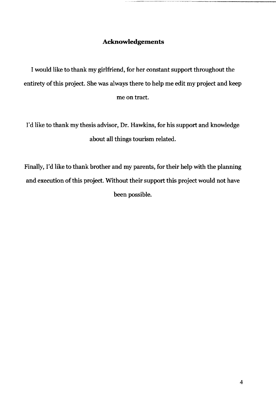# **Aclmowledgements**

I would like to thank my girlfriend, for her constant support throughout the entirety of this project. She was always there to help me edit my project and keep me on tract.

I'd like to thank my thesis advisor, Dr. Hawkins, for his support and knowledge about all things tourism related.

Finally, I'd like to thank brother and my parents, for their help with the planning and execution of this project. Without their support this project would not have been possible.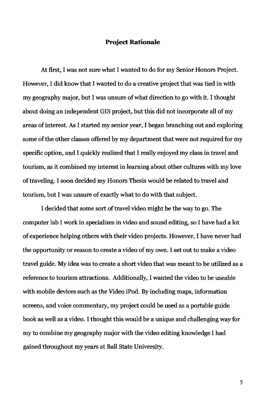## **Project Rationale**

At first, I was not sure what I wanted to do for my Senior Honors Project. However, I did know that I wanted to do a creative project that was tied in with my geography major, but I was unsure of what direction to go with it. I thought about doing an independent GIS project, but this did not incorporate all of my areas of interest. As I started my senior year, I began branching out and exploring some of the other classes offered by my department that were not required for my specific option, and I quickly realized that I really enjoyed my class in travel and tourism, as it combined my interest in learning about other cultures with my love of traveling. I soon decided my Honors Thesis would be related to travel and tourism, but I was unsure of exactly what to do with that subject.

I decided that some sort of travel video might be the way to go. The computer lab I work in specializes in video and sound editing, so I have had a lot of experience helping others with their video projects. However, I have never had the opportunity or reason to create a video of my own. I set out to make a video travel guide. My idea was to create a short video that was meant to be utilized as a reference to tourism attractions. Additionally, I wanted the video to be useable with mobile devices such as the Video iPod. By including maps, information screens, and voice commentary, my project could be used as a portable guide book as well as a video. I thought this would be a unique and challenging way for my to combine my geography major with the video editing knowledge I had gained throughout my years at Ball State University.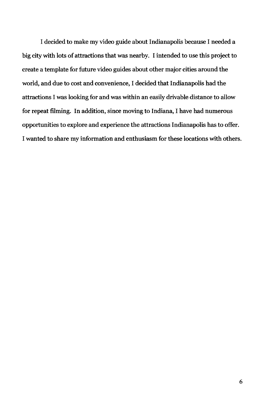I decided to make my video guide about Indianapolis because I needed a big city with lots of attractions that was nearby. I intended to use this project to create a template for future video guides about other major cities around the world, and due to cost and convenience, I decided that Indianapolis had the attractions I was looking for and was within an easily drivable distance to allow for repeat filming. In addition, since moving to Indiana, I have had numerous opportunities to explore and experience the attractions Indianapolis has to offer. I wanted to share my information and enthusiasm for these locations with others.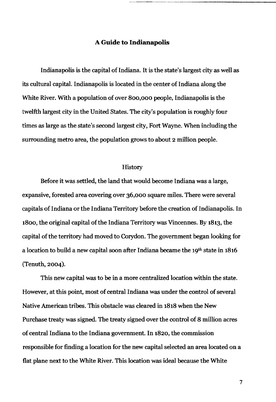## A **Guide to Indianapolis**

~----------.-.-----------

Indianapolis is the capital of Indiana. It is the state's largest city as well as its cultural capital. Indianapolis is located in the center of Indiana along the White River. With a population of over 800,000 people, Indianapolis is the twelfth largest city in the United States. The city's population is roughly four times as large as the state's second largest city, Fort Wayne. When including the surrounding metro area, the population grows to about 2 million people.

#### History

Before it was settled, the land that would become Indiana was a large, expansive, forested area covering over 36,000 square miles. There were several capitals of Indiana or the Indiana Territory before the creation of Indianapolis. In 1800, the original capital of the Indiana Territory was Vincennes. By 1813, the capital of the territory had moved to Corydon. The government began looking for a location to build a new capital soon after Indiana became the 19th state in 1816 (Tenuth, 2004).

This new capital was to be in a more centralized location within the state. However, at this point, most of central Indiana was under the control of several Native American tribes. This obstacle was cleared in 1818 when the New Purchase treaty was signed. The treaty signed over the control of 8 million acres of central Indiana to the Indiana government. In 1820, the commission responsible for finding a location for the new capital selected an area located on a flat plane next to the White River. This location was ideal because the White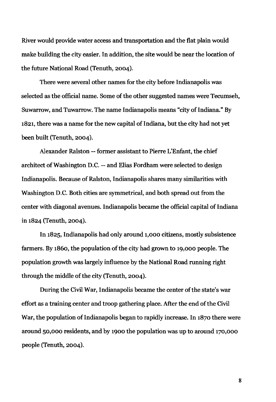River would provide water access and transportation and the Bat plain would make building the city easier. In addition, the site would be near the location of the future National Road (Tenuth, 2004).

There were several other names for the city before Indianapolis was selected as the official name. Some of the other suggested names were Tecumseh, Suwarrow, and Tuwarrow. The name Indianapolis means "city of Indiana.» By 1821, there was a name for the new capital of Indiana, but the city had not yet been built (Tenuth, 2004).

Alexander Ralston -- former assistant to Pierre L'Enfant, the chief architect of Washington D.C. -- and Elias Fordham were selected to design Indianapolis. Because of Ralston, Indianapolis shares many similarities with Washington D.C. Both cities are symmetrical, and both spread out from the center with diagonal avenues. Indianapolis became the official capital of Indiana in 1824 (Tenuth, 2004).

In 1825, Indianapolis had only around 1,000 citizens, mostly subsistence farmers. By 1860, the population of the city had grown to 19,000 people. The population growth was largely influence by the National Road running right through the middle of the city (Tenuth, 2004).

During the Civil War, Indianapolis became the center of the state's war effort as a training center and troop gathering place. After the end of the Civil War, the population of Indianapolis began to rapidly increase. In 1870 there were around 50,000 residents, and by 1900 the population was up to around 170,000 people (Tenuth, 2004).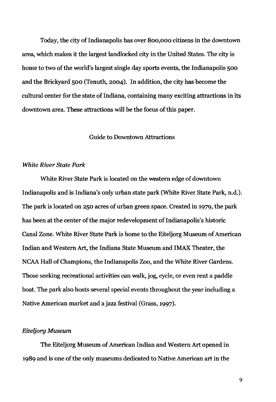Today, the city of Indianapolis has over 800,000 citizens in the downtown area, which makes it the largest landlocked city in the United States. The city is home to two of the world's largest single day sports events, the Indianapolis 500 and the Brickyard 500 (Tenuth, 2004). In addition, the city has become the cultural center for the state of Indiana, containing many exciting attractions in its downtown area. These attractions will be the focus of this paper.

## Guide to Downtown Attractions

## *White River State Park*

White River State Park is located on the western edge of downtown Indianapolis and is Indiana's only urban state park (White River State Park, n.d.). The park is located on 250 acres of urban green space. Created in 1979, the park has been at the center of the major redevelopment of Indianapolis's historic Canal Zone. White River State Park is home to the Eiteljorg Museum of American Indian and Western Art, the Indiana State Museum and IMAX Theater, the NCAA Hall of Champions, the Indianapolis Zoo, and the White River Gardens. Those seeking recreational activities can walk, jog, cycle, or even rent a paddle boat. The park also hosts several special events throughout the year including a Native American market and a jazz festival (Grass, 1997).

## *Eiteljorg Museum*

The Eiteljorg Museum of American Indian and Western Art opened in 1989 and is one of the only museums dedicated to Native American art in the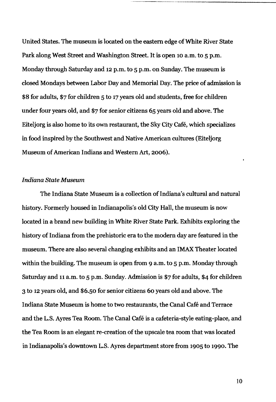United States. The museum is located on the eastern edge of White River State Park along west Street and Washington Street. It is open 10 a.m. to 5 p.m. Monday through Saturday and 12 p.m. to 5 p.m. on Sunday. The museum is closed Mondays between Labor Day and Memorial Day. The price of admission is \$8 for adults, \$7 for children 5 to 17 years old and students, free for children under four years old, and \$7 for senior citizens 65 years old and above. The Eiteljorg is also home to its own restaurant, the Sky City Cafe, which specializes in food inspired by the Southwest and Native American cultures (Eiteljorg Museum of American Indians and Western Art, 2006).

## *Indiana State Museum*

The Indiana State Museum is a collection of Indiana's cultural and natural history. Formerly housed in Indianapolis's old City Hall, the museum is now located in a brand new building in White River State Park. Exhibits exploring the history of Indiana from the prehistoric era to the modern day are featured in the museum. There are also several changing exhibits and an IMAX Theater located within the building. The museum is open from 9 a.m. to 5 p.m. Monday through Saturday and 11 a.m. to 5 p.m. Sunday. Admission is \$7 for adults, \$4 for children 3 to 12 years old, and \$6.50 for senior citizens 60 years old and above. The Indiana State Museum is home to two restaurants, the Canal Cafe and Terrace and the L.S. Ayres Tea Room. The Canal Cafe is a cafeteria-style eating-place, and the Tea Room is an elegant re-creation of the upscale tea room that was located in Indianapolis's downtown L.S. Ayres department store from 1905 to 1990. The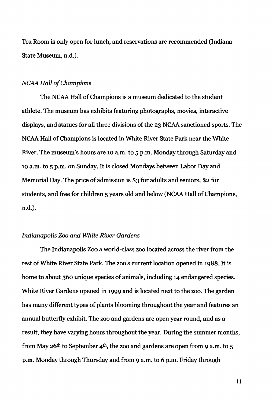Tea Room is only open for lunch, and reservations are recommended (Indiana State Museum, n.d.).

#### *NCAA Hall of Champions*

The NCAA Hall of Champions is a museum dedicated to the student athlete. The museum has exhibits featuring photographs, movies, interactive displays, and statues for all three divisions of the 23 NCAA sanctioned sports. The NCAA Hall of Champions is located in White River State Park near the White River. The museum's hours are 10 a.m. to 5 p.m. Monday through Saturday and 10 a.m. to 5 p.m. on Sunday. It is closed Mondays between Labor Day and Memorial Day. The price of admission is \$3 for adults and seniors, \$2 for students, and free for children 5 years old and below (NCAA Hall of Champions, n.d.),

## *Indianapolis* Zoo *and White River Gardens*

The Indianapolis Zoo a world-class zoo located across the river from the rest of White River State Park. The zoo's current location opened in 1988. It is home to about 360 unique species of animals, including 14 endangered species. White River Gardens opened in 1999 and is located next to the zoo. The garden has many different types of plants blooming throughout the year and features an annual butterfly exhibit. The zoo and gardens are open year round, and as a result, they have varying hours throughout the year. During the summer months, from May 26<sup>th</sup> to September 4<sup>th</sup>, the zoo and gardens are open from 9 a.m. to 5 p.m. Monday through Thursday and from 9 a.m. to 6 p.m. Friday through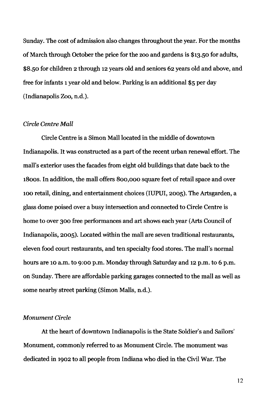Sunday. The cost of admission also changes throughout the year. For the months of March through October the price for the zoo and gardens is \$13.50 for adults, \$8.50 for children 2 through 12 years old and seniors 62 years old and above, and free for infants 1 year old and below. Parking is an additional \$5 per day (Indianapolis Zoo, n.d.).

## *Circle Centre Mall*

Circle Centre is a Simon Mall located in the middle of downtown Indianapolis. It was constructed as a part of the recent urban renewal effort. The mall's exterior uses the facades from eight old buildings that date back to the 1800s. In addition, the mall offers 800,000 square feet of retail space and over 100 retail, dining, and entertainment choices (IUPUI, 2005). The Artsgarden, a glass dome poised over a busy intersection and connected to Circle Centre is home to over 300 free performances and art shows each year (Arts Council of Indianapolis, 2005). Located within the mall are seven traditional restaurants, eleven food court restaurants, and ten specialty food stores. The mall's normal hours are 10 a.m. to 9:00 p.m. Monday through Saturday and 12 p.m. to 6 p.m. on Sunday. There are affordable parking garages connected to the mall as well as some nearby street parking (Simon Malls, n.d.).

#### *Monument Circle*

At the heart of downtown Indianapolis is the State Soldier's and Sailors' Monument, commonly referred to as Monument Circle. The monument was dedicated in 1902 to all people from Indiana who died in the Civil War. The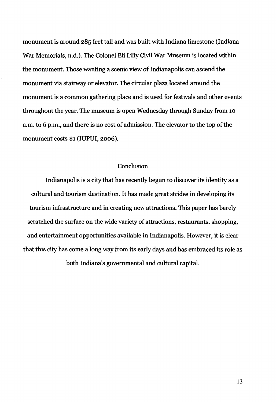monument is around 285 feet tall and was built with Indiana limestone (Indiana War Memorials, n.d.). The Colonel Eli Lilly Civil War Museum is located within the monument. Those wanting a scenic view of Indianapolis can ascend the monument via stairway or elevator. The circular plaza located around the monument is a common gathering place and is used for festivals and other events throughout the year. The museum is open Wednesday through Sunday from 10 a.m. to 6 p.m., and there is no cost of admission. The elevator to the top of the monument costs \$1 (IUPUI, 2006).

## **Conclusion**

Indianapolis is a city that has recently begun to discover its identity as a cultural and tourism destination. It has made great strides in developing its tourism infrastructure and in creating new attractions. This paper has barely scratched the surface on the wide variety of attractions, restaurants, shopping, and entertainment opportunities available in Indianapolis. However, it is clear that this city has come a long way from its early days and has embraced its role as both Indiana's governmental and cultural capital.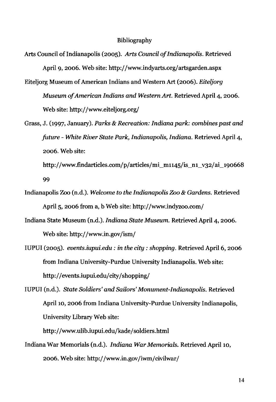### Bibliography

- Arts Council of Indianapolis (200S). *Arts Council o/Indianapolis.* Retrieved April 9, 2006. Web site: http://www.indyarts.org/artsgarden.aspx
- Eiteljorg Museum of American Indians and Western Art (2006). *Eiteljorg Museum* 0/ *American Indians and Western Art.* Retrieved April 4, 2006. Web site: http://www.eiteljorg.org/
- Grass, J. (1997, January). *Parks* & *Recreation: Indiana park: combines past and future* - *White River State Park, Indianapolis, Indiana.* Retrieved April 4, 2006. Web site:
	- http://www.findarticles.com/p/articles/mi\_m1145/is\_n1\_v32/ai\_190668 99
- Indianapolis Zoo (n.d.). *Welcome* to *the Indianapolis Zoo* & *Gardens.* Retrieved April 5, 2006 from a, b Web site: http://www.indyzoo.com/
- Indiana State Museum (n.d.). *Indiana State Museum.* Retrieved April 4, 2006. Web site: http://www.in.gov/ism/
- IUPUI (200S). *events.iupui.edu:* in *the city: shopping.* Retrieved April 6, 2006 from Indiana University-Purdue University Indianapolis. Web site: http://events.iupui.edu/city/shopping/

IUPUI (n.d.). *State Soldiers' and Sailors' Monument-Indianapolis.* Retrieved April 10, 2006 from Indiana University-Purdue University Indianapolis, University Library Web site:

http://www.ulib.iupui.edu/kade/soldiers.html

Indiana War Memorials (n.d.). *Indiana War Memorials.* Retrieved April 10, 2006. Web site: http://www.in.gov/iwm/civilwar/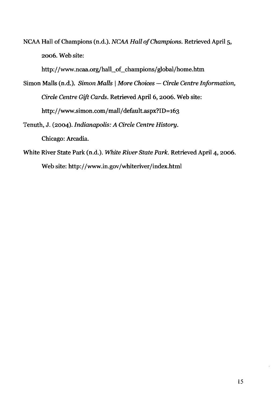NCAA Hall of Champions (n.d.). *NCAA Hall of Champions*. Retrieved April 5, 2006. Web site:

http://www.ncaa.org/hall\_of\_champions/global/home.htm

- Simon Malls (n.d.). *Simon Malls* | *More Choices Circle Centre Information, Circle Centre Gift Cards.* Retrieved April 6, 2006. Web site: http://www.simon.com/mall/default.aspx?ID=163
- Tenuth, J. (2004). *Indianapolis: A Circle Centre History.*  Chicago: Arcadia.
- White River State Park (n.d.). *White River State Park.* Retrieved April 4, 2006. Web site: http://www.in.gov/whiteriver/index.html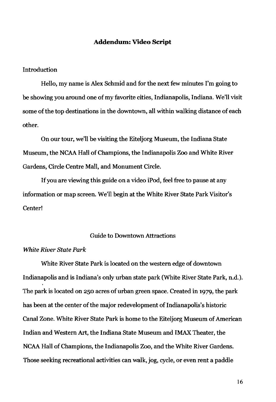## **Addendum: Video Script**

## Introduction

Hello, my name is Alex Schmid and for the next few minutes I'm going to be showing you around one of my favorite cities, Indianapolis, Indiana. We'll visit some of the top destinations in the downtown, all within walking distance of each other.

On our tour, we'll be visiting the Eiteljorg Museum, the Indiana State Museum, the NCAA Hall of Champions, the Indianapolis Zoo and White River Gardens, Circle Centre Mall, and Monument Circle.

If you are viewing this guide on a video iPod, feel free to pause at any information or map screen. We'll begin at the White River State Park Visitor's Center!

## Guide to Downtown Attractions

## *White River State Park*

White River State Park is located on the western edge of downtown Indianapolis and is Indiana's only urban state park (White River State Park, n.d.). The park is located on 250 acres of urban green space. Created in 1979, the park has been at the center of the major redevelopment of Indianapolis's historic Canal Zone. White River State Park is home to the Eiteljorg Museum of American Indian and Western Art, the Indiana State Museum and IMAX Theater, the NCAA Hall of Champions, the Indianapolis Zoo, and the White River Gardens. Those seeking recreational activities can walk, jog, cycle, or even rent a paddle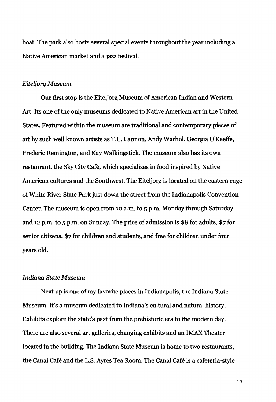boat. The park also hosts several special events throughout the year including a Native American market and a jazz festival.

#### *Eiteljorg Museum*

Our first stop is the Eiteljorg Museum of American Indian and Western Art. Its one of the only museums dedicated to Native American art in the United States. Featured within the museum are traditional and contemporary pieces of art by such well known artists as T.C. Cannon, Andy Warhol, Georgia O'Keeffe, Frederic Remington, and Kay Walkingstick. The museum also has its own restaurant, the Sky City cafe, which specializes in food inspired by Native American cultures and the Southwest. The Eiteljorg is located on the eastern edge of White River State Park just down the street from the Indianapolis Convention Center. The museum is open from 10 a.m. to 5 p.m. Monday through Saturday and 12 p.m. to 5 p.m. on Sunday. The price of admission is \$8 for adults, \$7 for senior citizens, \$7 for children and students, and free for children under four years old.

## *Indiana State Museum*

Next up is one of my favorite places in Indianapolis, the Indiana State Museum. It's a museum dedicated to Indiana's cultural and natural history. Exhibits explore the state's past from the prehistoric era to the modern day. There are also several art galleries, changing exhibits and an IMAX Theater located in the building. The Indiana State Museum is home to two restaurants, the canal Cafe and the L.S. Ayres Tea Room. The canal cafe is a cafeteria-style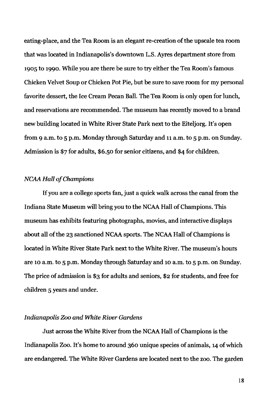eating-place, and the Tea Room is an elegant re-creation of the upscale tea room that was located in Indianapolis's downtown L.S. Ayres department store from 1905 to 1990. While you are there be sure to try either the Tea Room's famous Chicken Velvet Soup or Chicken Pot Pie, but be sure to save room for my personal favorite dessert, the Ice Cream Pecan Ball. The Tea Room is only open for lunch, and reservations are recommended. The museum has recently moved to a brand new building located in White River State Park next to the Eiteljorg. It's open from 9 a.m. to 5 p.m. Monday through Saturday and 11 a.m. to 5 p.m. on Sunday. Admission is \$7 for adults, \$6.50 for senior citizens, and \$4 for children.

## *NCAA Hall of Champions*

If you are a college sports fan, just a quick walk across the canal from the Indiana State Museum will bring you to the NCAA Hall of Champions. This museum has exhibits featuring photographs, movies, and interactive displays about all of the 23 sanctioned NCAA sports. The NCAA Hall of Champions is located in White River State Park next to the White River. The museum's hours are 10 a.m. to 5 p.m. Monday through Saturday and 10 a.m. to 5 p.m. on Sunday. The price of admission is \$3 for adults and seniors, \$2 for students, and free for children 5 years and under.

## *Indianapolis Zoo and White River Gardens*

Just across the White River from the NCAA Hall of Champions is the Indianapolis Zoo. It's home to around 360 unique species of animals, 14 of which are endangered. The White River Gardens are located next to the zoo. The garden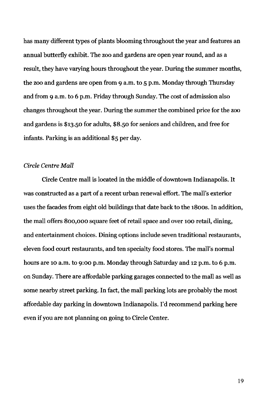has many different types of plants blooming throughout the year and features an annual butterfly exhibit. The zoo and gardens are open year round, and as a result, they have varying hours throughout the year. During the summer months, the zoo and gardens are open from 9 a.m. to 5 p.m. Monday through Thursday and from 9 a.m. to 6 p.m. Friday through Sunday. The cost of admission also changes throughout the year. During the summer the combined price for the zoo and gardens is \$13.50 for adults, \$8.50 for seniors and children, and free for infants. Parking is an additional \$5 per day.

## *Circle Centre Mall*

Circle Centre mall is located in the middle of downtown Indianapolis. It was constructed as a part of a recent urban renewal effort. The mall's exterior uses the facades from eight old buildings that date back to the 1800s. In addition, the mall offers 800,000 square feet of retail space and over 100 retail, dining, and entertainment choices. Dining options include seven traditional restaurants, eleven food court restaurants, and ten specialty food stores. The mall's normal hours are 10 a.m. to 9:00 p.m. Monday through Saturday and 12 p.m. to 6 p.m. on Sunday. There are affordable parking garages connected to the mall as well as some nearby street parking. In fact, the mall parking lots are probably the most affordable day parking in downtown Indianapolis. I'd recommend parking here even if you are not planning on going to Circle Center.